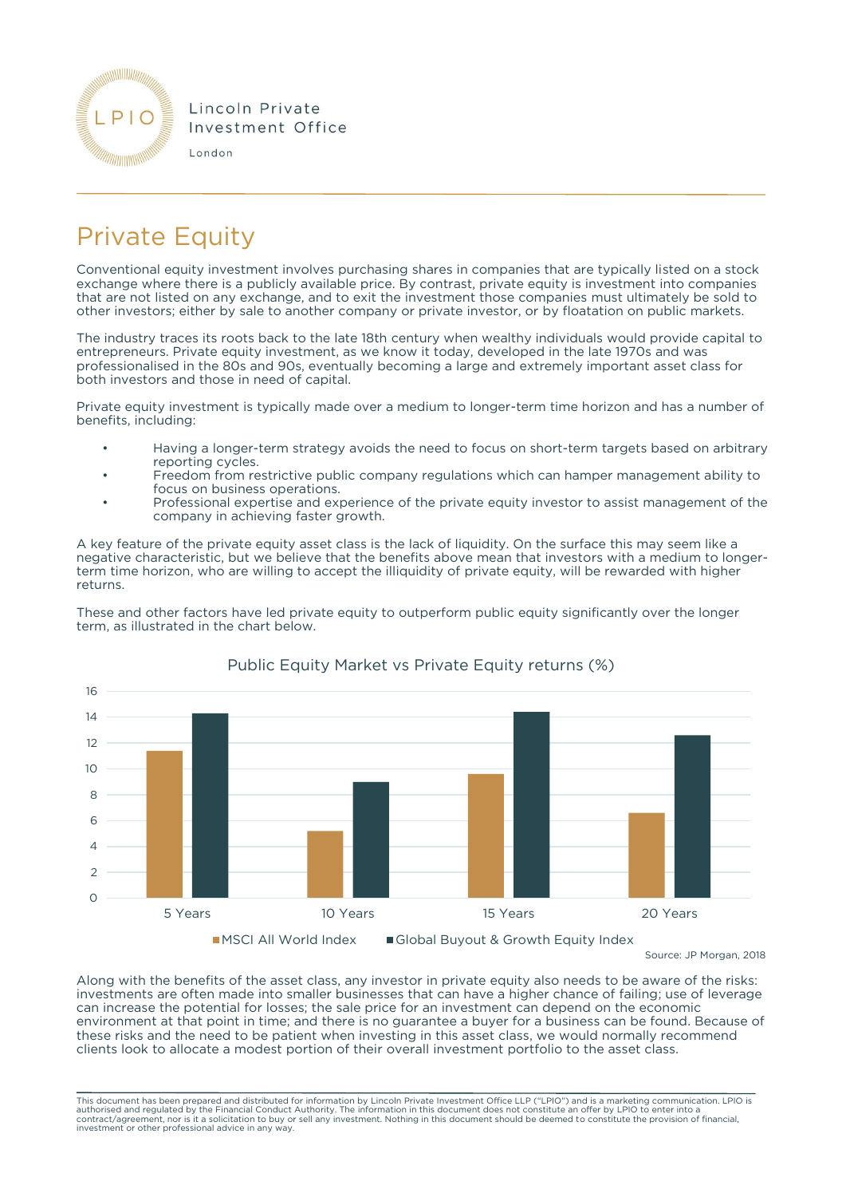

## Private Equity

Conventional equity investment involves purchasing shares in companies that are typically listed on a stock exchange where there is a publicly available price. By contrast, private equity is investment into companies that are not listed on any exchange, and to exit the investment those companies must ultimately be sold to other investors; either by sale to another company or private investor, or by floatation on public markets.

The industry traces its roots back to the late 18th century when wealthy individuals would provide capital to entrepreneurs. Private equity investment, as we know it today, developed in the late 1970s and was professionalised in the 80s and 90s, eventually becoming a large and extremely important asset class for both investors and those in need of capital.

Private equity investment is typically made over a medium to longer-term time horizon and has a number of benefits, including:

- Having a longer-term strategy avoids the need to focus on short-term targets based on arbitrary reporting cycles.
- Freedom from restrictive public company regulations which can hamper management ability to focus on business operations.
- Professional expertise and experience of the private equity investor to assist management of the company in achieving faster growth.

A key feature of the private equity asset class is the lack of liquidity. On the surface this may seem like a negative characteristic, but we believe that the benefits above mean that investors with a medium to longerterm time horizon, who are willing to accept the illiquidity of private equity, will be rewarded with higher returns.

These and other factors have led private equity to outperform public equity significantly over the longer term, as illustrated in the chart below.



## Public Equity Market vs Private Equity returns (%)

Source: JP Morgan, 2018

Along with the benefits of the asset class, any investor in private equity also needs to be aware of the risks: investments are often made into smaller businesses that can have a higher chance of failing; use of leverage can increase the potential for losses; the sale price for an investment can depend on the economic environment at that point in time; and there is no guarantee a buyer for a business can be found. Because of these risks and the need to be patient when investing in this asset class, we would normally recommend clients look to allocate a modest portion of their overall investment portfolio to the asset class.

This document has been prepared and distributed for information by Lincoln Private Investment Office LLP ("LPIO") and is a marketing communication. LPIO is<br>authorised and regulated by the Financial Conduct Authority. The i contract/agreement, nor is it a solicitation to buy or sell any investment. Nothing in this document should be deemed to constitute the provision of financial, investment or other professional advice in any way.